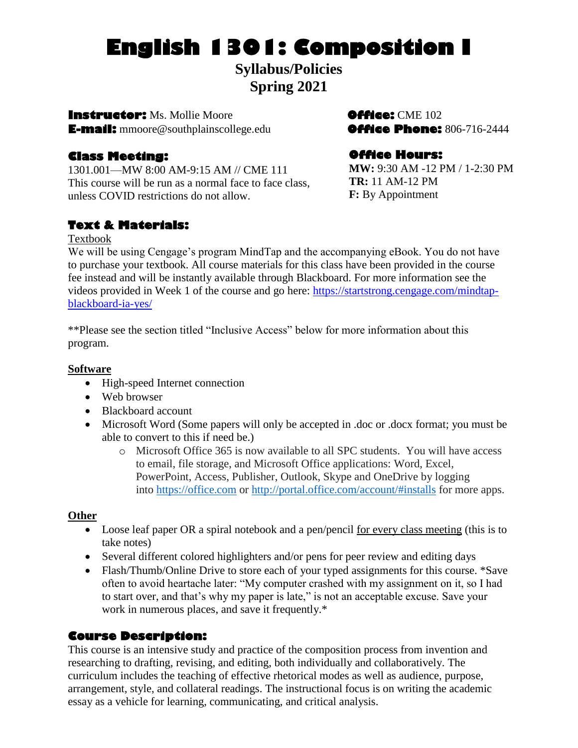# **English 1301: Composition I**

**Syllabus/Policies Spring 2021**

**Instructor:** Ms. Mollie Moore**Office:** CME 102 **E-mail:** mmoore@southplainscollege.edu**Office Phone:** 806-716-2444

# **Class Meeting:**

1301.001—MW 8:00 AM-9:15 AM // CME 111 This course will be run as a normal face to face class, unless COVID restrictions do not allow.

# **Text & Materials:**

## Textbook

We will be using Cengage's program MindTap and the accompanying eBook. You do not have to purchase your textbook. All course materials for this class have been provided in the course fee instead and will be instantly available through Blackboard. For more information see the videos provided in Week 1 of the course and go here: [https://startstrong.cengage.com/mindtap](https://startstrong.cengage.com/mindtap-blackboard-ia-yes/)[blackboard-ia-yes/](https://startstrong.cengage.com/mindtap-blackboard-ia-yes/)

\*\*Please see the section titled "Inclusive Access" below for more information about this program.

# **Software**

- High-speed Internet connection
- Web browser
- Blackboard account
- Microsoft Word (Some papers will only be accepted in .doc or .docx format; you must be able to convert to this if need be.)
	- o Microsoft Office 365 is now available to all SPC students. You will have access to email, file storage, and Microsoft Office applications: Word, Excel, PowerPoint, Access, Publisher, Outlook, Skype and OneDrive by logging into [https://office.com](https://office.com/) or <http://portal.office.com/account/#installs> for more apps.

# **Other**

- Loose leaf paper OR a spiral notebook and a pen/pencil <u>for every class meeting</u> (this is to take notes)
- Several different colored highlighters and/or pens for peer review and editing days
- Flash/Thumb/Online Drive to store each of your typed assignments for this course. \*Save often to avoid heartache later: "My computer crashed with my assignment on it, so I had to start over, and that's why my paper is late," is not an acceptable excuse. Save your work in numerous places, and save it frequently.\*

# **Course Description:**

This course is an intensive study and practice of the composition process from invention and researching to drafting, revising, and editing, both individually and collaboratively. The curriculum includes the teaching of effective rhetorical modes as well as audience, purpose, arrangement, style, and collateral readings. The instructional focus is on writing the academic essay as a vehicle for learning, communicating, and critical analysis.

# **Office Hours:**

**MW:** 9:30 AM -12 PM / 1-2:30 PM **TR:** 11 AM-12 PM **F:** By Appointment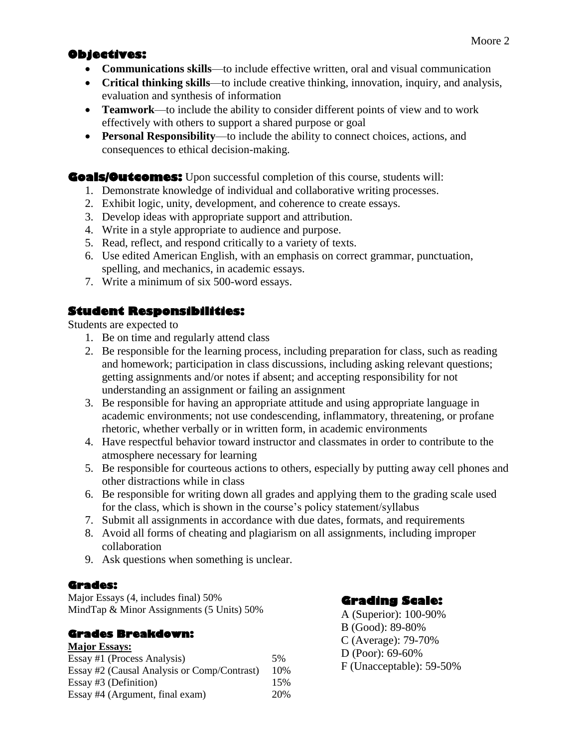# **Objectives:**

- **Communications skills**—to include effective written, oral and visual communication
- **Critical thinking skills**—to include creative thinking, innovation, inquiry, and analysis, evaluation and synthesis of information
- **Teamwork**—to include the ability to consider different points of view and to work effectively with others to support a shared purpose or goal
- **Personal Responsibility**—to include the ability to connect choices, actions, and consequences to ethical decision-making.

**Goals/Outcomes:** Upon successful completion of this course, students will:

- 1. Demonstrate knowledge of individual and collaborative writing processes.
- 2. Exhibit logic, unity, development, and coherence to create essays.
- 3. Develop ideas with appropriate support and attribution.
- 4. Write in a style appropriate to audience and purpose.
- 5. Read, reflect, and respond critically to a variety of texts.
- 6. Use edited American English, with an emphasis on correct grammar, punctuation, spelling, and mechanics, in academic essays.
- 7. Write a minimum of six 500-word essays.

# **Student Responsibilities:**

Students are expected to

- 1. Be on time and regularly attend class
- 2. Be responsible for the learning process, including preparation for class, such as reading and homework; participation in class discussions, including asking relevant questions; getting assignments and/or notes if absent; and accepting responsibility for not understanding an assignment or failing an assignment
- 3. Be responsible for having an appropriate attitude and using appropriate language in academic environments; not use condescending, inflammatory, threatening, or profane rhetoric, whether verbally or in written form, in academic environments
- 4. Have respectful behavior toward instructor and classmates in order to contribute to the atmosphere necessary for learning
- 5. Be responsible for courteous actions to others, especially by putting away cell phones and other distractions while in class
- 6. Be responsible for writing down all grades and applying them to the grading scale used for the class, which is shown in the course's policy statement/syllabus
- 7. Submit all assignments in accordance with due dates, formats, and requirements
- 8. Avoid all forms of cheating and plagiarism on all assignments, including improper collaboration
- 9. Ask questions when something is unclear.

# **Grades:**

Major Essays (4, includes final) 50% MindTap & Minor Assignments (5 Units) 50%

# **Grades Breakdown:**

#### **Major Essays:**

| Essay #1 (Process Analysis)                 | .5% |
|---------------------------------------------|-----|
| Essay #2 (Causal Analysis or Comp/Contrast) | 10% |
| Essay #3 (Definition)                       | 15% |
| Essay #4 (Argument, final exam)             | 20% |

# **Grading Scale:**

A (Superior): 100-90% B (Good): 89-80% C (Average): 79-70% D (Poor): 69-60% F (Unacceptable): 59-50%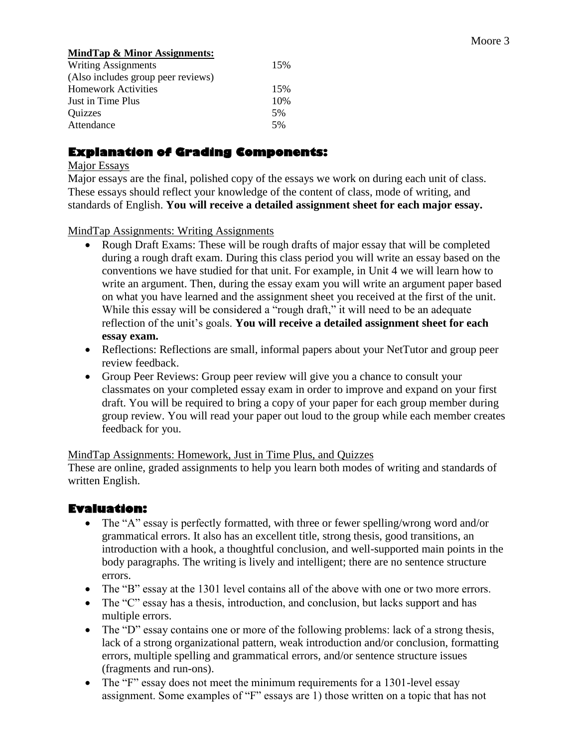#### **MindTap & Minor Assignments:**

| <b>Writing Assignments</b>         | 15% |
|------------------------------------|-----|
| (Also includes group peer reviews) |     |
| <b>Homework Activities</b>         | 15% |
| Just in Time Plus                  | 10% |
| Quizzes                            | .5% |
| Attendance                         | .5% |

# **Explanation of Grading Components:**

#### Major Essays

Major essays are the final, polished copy of the essays we work on during each unit of class. These essays should reflect your knowledge of the content of class, mode of writing, and standards of English. **You will receive a detailed assignment sheet for each major essay.**

#### MindTap Assignments: Writing Assignments

- Rough Draft Exams: These will be rough drafts of major essay that will be completed during a rough draft exam. During this class period you will write an essay based on the conventions we have studied for that unit. For example, in Unit 4 we will learn how to write an argument. Then, during the essay exam you will write an argument paper based on what you have learned and the assignment sheet you received at the first of the unit. While this essay will be considered a "rough draft," it will need to be an adequate reflection of the unit's goals. **You will receive a detailed assignment sheet for each essay exam.**
- Reflections: Reflections are small, informal papers about your NetTutor and group peer review feedback.
- Group Peer Reviews: Group peer review will give you a chance to consult your classmates on your completed essay exam in order to improve and expand on your first draft. You will be required to bring a copy of your paper for each group member during group review. You will read your paper out loud to the group while each member creates feedback for you.

#### MindTap Assignments: Homework, Just in Time Plus, and Quizzes

These are online, graded assignments to help you learn both modes of writing and standards of written English.

# **Evaluation:**

- The "A" essay is perfectly formatted, with three or fewer spelling/wrong word and/or grammatical errors. It also has an excellent title, strong thesis, good transitions, an introduction with a hook, a thoughtful conclusion, and well-supported main points in the body paragraphs. The writing is lively and intelligent; there are no sentence structure errors.
- The "B" essay at the 1301 level contains all of the above with one or two more errors.
- The "C" essay has a thesis, introduction, and conclusion, but lacks support and has multiple errors.
- The "D" essay contains one or more of the following problems: lack of a strong thesis, lack of a strong organizational pattern, weak introduction and/or conclusion, formatting errors, multiple spelling and grammatical errors, and/or sentence structure issues (fragments and run-ons).
- The "F" essay does not meet the minimum requirements for a 1301-level essay assignment. Some examples of "F" essays are 1) those written on a topic that has not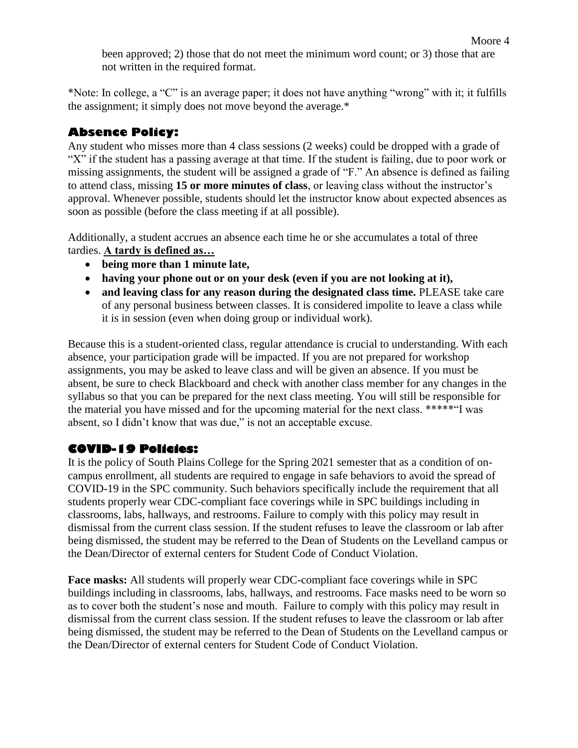\*Note: In college, a "C" is an average paper; it does not have anything "wrong" with it; it fulfills the assignment; it simply does not move beyond the average.\*

# **Absence Policy:**

Any student who misses more than 4 class sessions (2 weeks) could be dropped with a grade of "X" if the student has a passing average at that time. If the student is failing, due to poor work or missing assignments, the student will be assigned a grade of "F." An absence is defined as failing to attend class, missing **15 or more minutes of class**, or leaving class without the instructor's approval. Whenever possible, students should let the instructor know about expected absences as soon as possible (before the class meeting if at all possible).

Additionally, a student accrues an absence each time he or she accumulates a total of three tardies. **A tardy is defined as…**

- **being more than 1 minute late,**
- **having your phone out or on your desk (even if you are not looking at it),**
- **and leaving class for any reason during the designated class time.** PLEASE take care of any personal business between classes. It is considered impolite to leave a class while it is in session (even when doing group or individual work).

Because this is a student-oriented class, regular attendance is crucial to understanding. With each absence, your participation grade will be impacted. If you are not prepared for workshop assignments, you may be asked to leave class and will be given an absence. If you must be absent, be sure to check Blackboard and check with another class member for any changes in the syllabus so that you can be prepared for the next class meeting. You will still be responsible for the material you have missed and for the upcoming material for the next class. \*\*\*\*\*"I was absent, so I didn't know that was due," is not an acceptable excuse.

# **COVID-19 Policies:**

It is the policy of South Plains College for the Spring 2021 semester that as a condition of oncampus enrollment, all students are required to engage in safe behaviors to avoid the spread of COVID-19 in the SPC community. Such behaviors specifically include the requirement that all students properly wear CDC-compliant face coverings while in SPC buildings including in classrooms, labs, hallways, and restrooms. Failure to comply with this policy may result in dismissal from the current class session. If the student refuses to leave the classroom or lab after being dismissed, the student may be referred to the Dean of Students on the Levelland campus or the Dean/Director of external centers for Student Code of Conduct Violation.

**Face masks:** All students will properly wear CDC-compliant face coverings while in SPC buildings including in classrooms, labs, hallways, and restrooms. Face masks need to be worn so as to cover both the student's nose and mouth. Failure to comply with this policy may result in dismissal from the current class session. If the student refuses to leave the classroom or lab after being dismissed, the student may be referred to the Dean of Students on the Levelland campus or the Dean/Director of external centers for Student Code of Conduct Violation.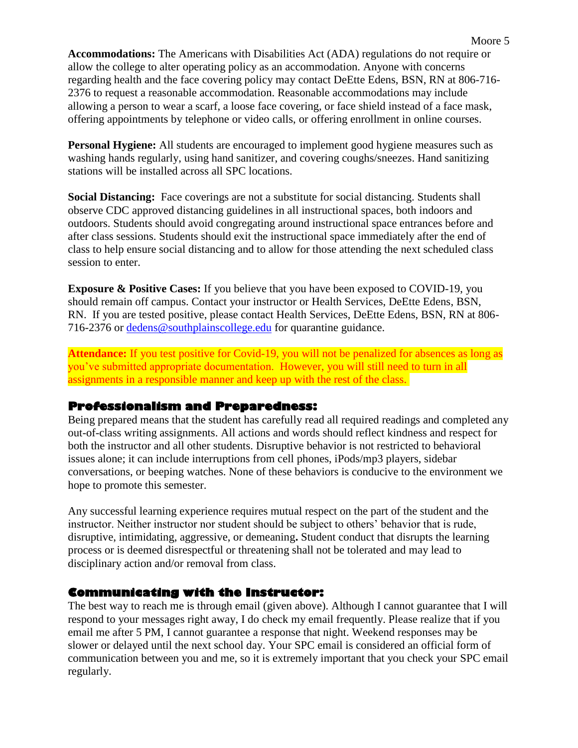**Accommodations:** The Americans with Disabilities Act (ADA) regulations do not require or allow the college to alter operating policy as an accommodation. Anyone with concerns regarding health and the face covering policy may contact DeEtte Edens, BSN, RN at 806-716- 2376 to request a reasonable accommodation. Reasonable accommodations may include allowing a person to wear a scarf, a loose face covering, or face shield instead of a face mask, offering appointments by telephone or video calls, or offering enrollment in online courses.

**Personal Hygiene:** All students are encouraged to implement good hygiene measures such as washing hands regularly, using hand sanitizer, and covering coughs/sneezes. Hand sanitizing stations will be installed across all SPC locations.

**Social Distancing:** Face coverings are not a substitute for social distancing. Students shall observe CDC approved distancing guidelines in all instructional spaces, both indoors and outdoors. Students should avoid congregating around instructional space entrances before and after class sessions. Students should exit the instructional space immediately after the end of class to help ensure social distancing and to allow for those attending the next scheduled class session to enter.

**Exposure & Positive Cases:** If you believe that you have been exposed to COVID-19, you should remain off campus. Contact your instructor or Health Services, DeEtte Edens, BSN, RN. If you are tested positive, please contact Health Services, DeEtte Edens, BSN, RN at 806- 716-2376 or [dedens@southplainscollege.edu](mailto:dedens@southplainscollege.edu) for quarantine guidance.

**Attendance:** If you test positive for Covid-19, you will not be penalized for absences as long as you've submitted appropriate documentation. However, you will still need to turn in all assignments in a responsible manner and keep up with the rest of the class.

#### **Professionalism and Preparedness:**

Being prepared means that the student has carefully read all required readings and completed any out-of-class writing assignments. All actions and words should reflect kindness and respect for both the instructor and all other students. Disruptive behavior is not restricted to behavioral issues alone; it can include interruptions from cell phones, iPods/mp3 players, sidebar conversations, or beeping watches. None of these behaviors is conducive to the environment we hope to promote this semester.

Any successful learning experience requires mutual respect on the part of the student and the instructor. Neither instructor nor student should be subject to others' behavior that is rude, disruptive, intimidating, aggressive, or demeaning**.** Student conduct that disrupts the learning process or is deemed disrespectful or threatening shall not be tolerated and may lead to disciplinary action and/or removal from class.

#### **Communicating with the Instructor:**

The best way to reach me is through email (given above). Although I cannot guarantee that I will respond to your messages right away, I do check my email frequently. Please realize that if you email me after 5 PM, I cannot guarantee a response that night. Weekend responses may be slower or delayed until the next school day. Your SPC email is considered an official form of communication between you and me, so it is extremely important that you check your SPC email regularly.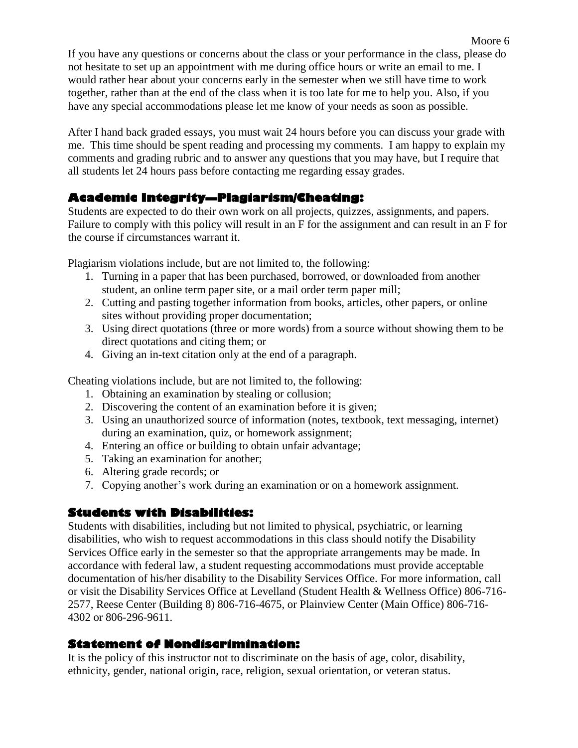If you have any questions or concerns about the class or your performance in the class, please do not hesitate to set up an appointment with me during office hours or write an email to me. I would rather hear about your concerns early in the semester when we still have time to work together, rather than at the end of the class when it is too late for me to help you. Also, if you have any special accommodations please let me know of your needs as soon as possible.

After I hand back graded essays, you must wait 24 hours before you can discuss your grade with me. This time should be spent reading and processing my comments. I am happy to explain my comments and grading rubric and to answer any questions that you may have, but I require that all students let 24 hours pass before contacting me regarding essay grades.

# **Academic Integrity—Plagiarism/Cheating:**

Students are expected to do their own work on all projects, quizzes, assignments, and papers. Failure to comply with this policy will result in an F for the assignment and can result in an F for the course if circumstances warrant it.

Plagiarism violations include, but are not limited to, the following:

- 1. Turning in a paper that has been purchased, borrowed, or downloaded from another student, an online term paper site, or a mail order term paper mill;
- 2. Cutting and pasting together information from books, articles, other papers, or online sites without providing proper documentation;
- 3. Using direct quotations (three or more words) from a source without showing them to be direct quotations and citing them; or
- 4. Giving an in-text citation only at the end of a paragraph.

Cheating violations include, but are not limited to, the following:

- 1. Obtaining an examination by stealing or collusion;
- 2. Discovering the content of an examination before it is given;
- 3. Using an unauthorized source of information (notes, textbook, text messaging, internet) during an examination, quiz, or homework assignment;
- 4. Entering an office or building to obtain unfair advantage;
- 5. Taking an examination for another;
- 6. Altering grade records; or
- 7. Copying another's work during an examination or on a homework assignment.

# **Students with Disabilities:**

Students with disabilities, including but not limited to physical, psychiatric, or learning disabilities, who wish to request accommodations in this class should notify the Disability Services Office early in the semester so that the appropriate arrangements may be made. In accordance with federal law, a student requesting accommodations must provide acceptable documentation of his/her disability to the Disability Services Office. For more information, call or visit the Disability Services Office at Levelland (Student Health & Wellness Office) 806-716- 2577, Reese Center (Building 8) 806-716-4675, or Plainview Center (Main Office) 806-716- 4302 or 806-296-9611.

# **Statement of Nondiscrimination:**

It is the policy of this instructor not to discriminate on the basis of age, color, disability, ethnicity, gender, national origin, race, religion, sexual orientation, or veteran status.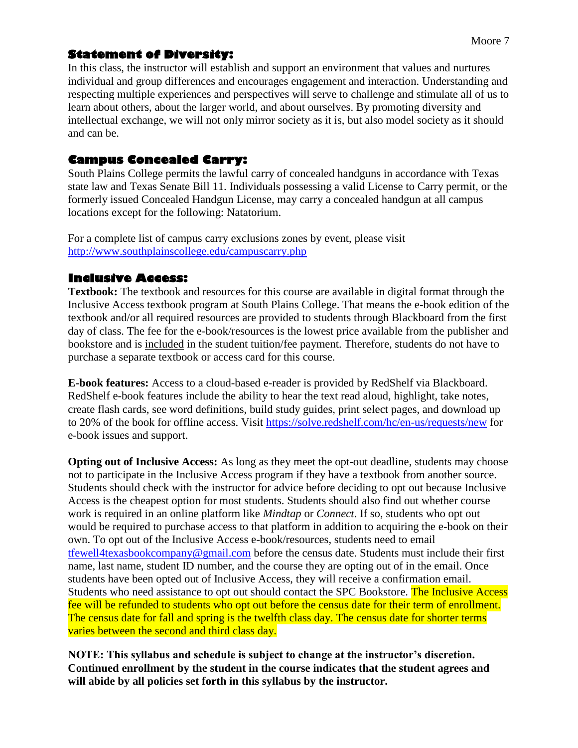# **Statement of Diversity:**

In this class, the instructor will establish and support an environment that values and nurtures individual and group differences and encourages engagement and interaction. Understanding and respecting multiple experiences and perspectives will serve to challenge and stimulate all of us to learn about others, about the larger world, and about ourselves. By promoting diversity and intellectual exchange, we will not only mirror society as it is, but also model society as it should and can be.

## **Campus Concealed Carry:**

South Plains College permits the lawful carry of concealed handguns in accordance with Texas state law and Texas Senate Bill 11. Individuals possessing a valid License to Carry permit, or the formerly issued Concealed Handgun License, may carry a concealed handgun at all campus locations except for the following: Natatorium.

For a complete list of campus carry exclusions zones by event, please visit <http://www.southplainscollege.edu/campuscarry.php>

# **Inclusive Access:**

**Textbook:** The textbook and resources for this course are available in digital format through the Inclusive Access textbook program at South Plains College. That means the e-book edition of the textbook and/or all required resources are provided to students through Blackboard from the first day of class. The fee for the e-book/resources is the lowest price available from the publisher and bookstore and is included in the student tuition/fee payment. Therefore, students do not have to purchase a separate textbook or access card for this course.

**E-book features:** Access to a cloud-based e-reader is provided by RedShelf via Blackboard. RedShelf e-book features include the ability to hear the text read aloud, highlight, take notes, create flash cards, see word definitions, build study guides, print select pages, and download up to 20% of the book for offline access. Visit<https://solve.redshelf.com/hc/en-us/requests/new> for e-book issues and support.

**Opting out of Inclusive Access:** As long as they meet the opt-out deadline, students may choose not to participate in the Inclusive Access program if they have a textbook from another source. Students should check with the instructor for advice before deciding to opt out because Inclusive Access is the cheapest option for most students. Students should also find out whether course work is required in an online platform like *Mindtap* or *Connect*. If so, students who opt out would be required to purchase access to that platform in addition to acquiring the e-book on their own. To opt out of the Inclusive Access e-book/resources, students need to email [tfewell4texasbookcompany@gmail.com](mailto:tfewell4texasbookcompany@gmail.com) before the census date. Students must include their first name, last name, student ID number, and the course they are opting out of in the email. Once students have been opted out of Inclusive Access, they will receive a confirmation email. Students who need assistance to opt out should contact the SPC Bookstore. The Inclusive Access fee will be refunded to students who opt out before the census date for their term of enrollment. The census date for fall and spring is the twelfth class day. The census date for shorter terms varies between the second and third class day.

**NOTE: This syllabus and schedule is subject to change at the instructor's discretion. Continued enrollment by the student in the course indicates that the student agrees and will abide by all policies set forth in this syllabus by the instructor.**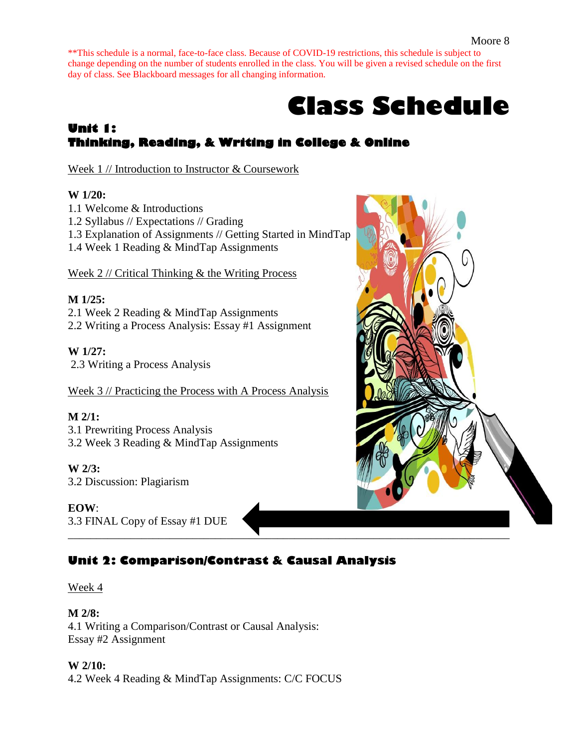\*\*This schedule is a normal, face-to-face class. Because of COVID-19 restrictions, this schedule is subject to change depending on the number of students enrolled in the class. You will be given a revised schedule on the first day of class. See Blackboard messages for all changing information.

# **Class Schedule**

# **Unit 1: Thinking, Reading, & Writing in College & Online**

Week 1 // Introduction to Instructor & Coursework

## **W 1/20:**

- 1.1 Welcome & Introductions
- 1.2 Syllabus // Expectations // Grading
- 1.3 Explanation of Assignments // Getting Started in MindTap
- 1.4 Week 1 Reading & MindTap Assignments

Week 2 // Critical Thinking & the Writing Process

# **M 1/25:**

2.1 Week 2 Reading & MindTap Assignments 2.2 Writing a Process Analysis: Essay #1 Assignment

# **W 1/27:**

2.3 Writing a Process Analysis

Week 3 // Practicing the Process with A Process Analysis

# **M 2/1:**

3.1 Prewriting Process Analysis 3.2 Week 3 Reading & MindTap Assignments

# **W 2/3:**

3.2 Discussion: Plagiarism

#### **EOW**:

3.3 FINAL Copy of Essay #1 DUE \_\_\_\_\_\_\_\_\_\_\_\_\_\_\_\_\_\_\_\_\_\_\_\_\_\_\_\_\_\_\_\_\_\_\_\_\_\_\_\_\_\_\_\_\_\_\_\_\_\_\_\_\_\_\_\_\_\_\_\_\_\_\_\_\_\_\_\_\_\_\_\_\_\_\_\_\_\_

# **Unit 2: Comparison/Contrast & Causal Analysis**

Week 4

**M 2/8:** 4.1 Writing a Comparison/Contrast or Causal Analysis: Essay #2 Assignment

**W 2/10:** 4.2 Week 4 Reading & MindTap Assignments: C/C FOCUS

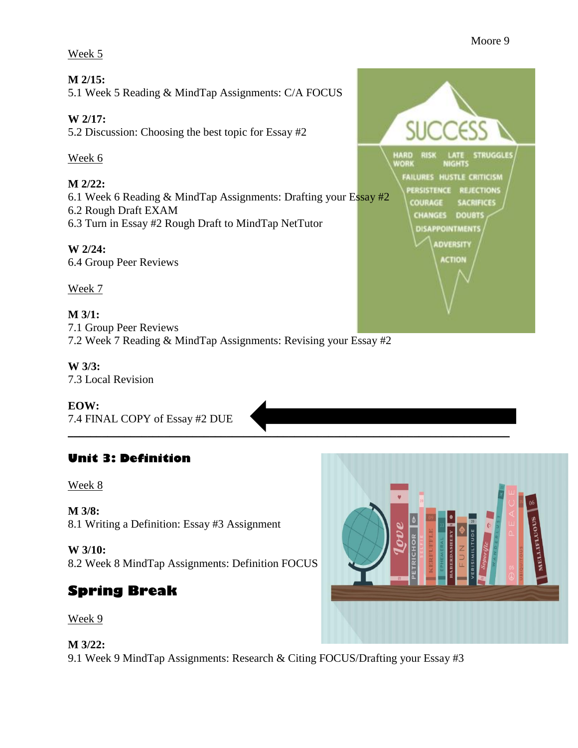#### Week 5

#### **M 2/15:**

5.1 Week 5 Reading & MindTap Assignments: C/A FOCUS

# **W 2/17:**

5.2 Discussion: Choosing the best topic for Essay #2

## Week 6

# **M 2/22:**

6.1 Week 6 Reading & MindTap Assignments: Drafting your Essay #2 6.2 Rough Draft EXAM

6.3 Turn in Essay #2 Rough Draft to MindTap NetTutor

# **W 2/24:**

6.4 Group Peer Reviews

# Week 7

#### **M 3/1:** 7.1 Group Peer Reviews 7.2 Week 7 Reading & MindTap Assignments: Revising your Essay #2

#### **W 3/3:** 7.3 Local Revision

**EOW:** 7.4 FINAL COPY of Essay #2 DUE

# **Unit 3: Definition**

# Week 8

**M 3/8:** 8.1 Writing a Definition: Essay #3 Assignment

#### **W 3/10:**

8.2 Week 8 MindTap Assignments: Definition FOCUS

# **Spring Break**

#### Week 9

# **M 3/22:**

9.1 Week 9 MindTap Assignments: Research & Citing FOCUS/Drafting your Essay #3

 $\blacksquare$ 



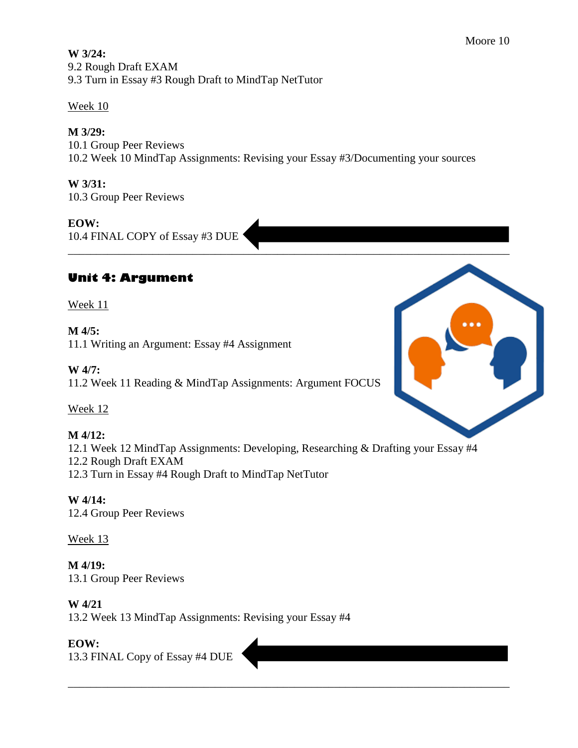**W 3/24:** 9.2 Rough Draft EXAM 9.3 Turn in Essay #3 Rough Draft to MindTap NetTutor

# Week 10

# **M 3/29:**

10.1 Group Peer Reviews 10.2 Week 10 MindTap Assignments: Revising your Essay #3/Documenting your sources

 $\blacksquare$ 

# **W 3/31:**

10.3 Group Peer Reviews

## **EOW:**

10.4 FINAL COPY of Essay #3 DUE

# **Unit 4: Argument**

Week 11

# **M 4/5:**

11.1 Writing an Argument: Essay #4 Assignment

# **W 4/7:**

11.2 Week 11 Reading & MindTap Assignments: Argument FOCUS

# Week 12

# **M 4/12:**

12.1 Week 12 MindTap Assignments: Developing, Researching & Drafting your Essay #4

12.2 Rough Draft EXAM

12.3 Turn in Essay #4 Rough Draft to MindTap NetTutor

# **W 4/14:**

12.4 Group Peer Reviews

# Week 13

**M 4/19:** 13.1 Group Peer Reviews

# **W 4/21**

13.2 Week 13 MindTap Assignments: Revising your Essay #4

# **EOW:**

13.3 FINAL Copy of Essay #4 DUE



\_\_\_\_\_\_\_\_\_\_\_\_\_\_\_\_\_\_\_\_\_\_\_\_\_\_\_\_\_\_\_\_\_\_\_\_\_\_\_\_\_\_\_\_\_\_\_\_\_\_\_\_\_\_\_\_\_\_\_\_\_\_\_\_\_\_\_\_\_\_\_\_\_\_\_\_\_\_